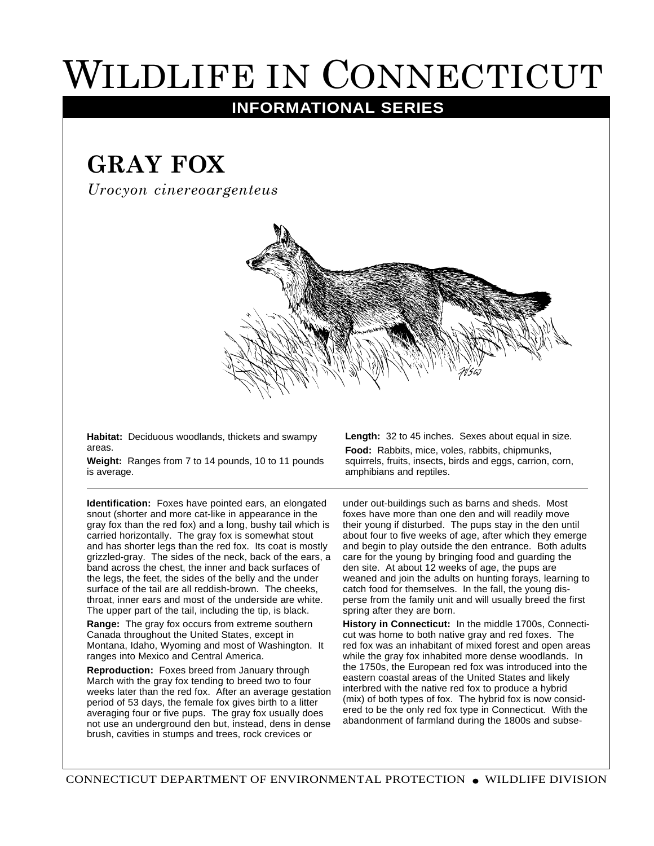## WILDLIFE IN CONNECTICUT

## **INFORMATIONAL SERIES**

## **GRAY FOX**

*Urocyon cinereoargenteus*



**Habitat:** Deciduous woodlands, thickets and swampy areas.

**Weight:** Ranges from 7 to 14 pounds, 10 to 11 pounds is average.

**Identification:** Foxes have pointed ears, an elongated snout (shorter and more cat-like in appearance in the gray fox than the red fox) and a long, bushy tail which is carried horizontally. The gray fox is somewhat stout and has shorter legs than the red fox. Its coat is mostly grizzled-gray. The sides of the neck, back of the ears, a band across the chest, the inner and back surfaces of the legs, the feet, the sides of the belly and the under surface of the tail are all reddish-brown. The cheeks, throat, inner ears and most of the underside are white. The upper part of the tail, including the tip, is black.

**Range:** The gray fox occurs from extreme southern Canada throughout the United States, except in Montana, Idaho, Wyoming and most of Washington. It ranges into Mexico and Central America.

**Reproduction:** Foxes breed from January through March with the gray fox tending to breed two to four weeks later than the red fox. After an average gestation period of 53 days, the female fox gives birth to a litter averaging four or five pups. The gray fox usually does not use an underground den but, instead, dens in dense brush, cavities in stumps and trees, rock crevices or

**Length:** 32 to 45 inches. Sexes about equal in size. **Food:** Rabbits, mice, voles, rabbits, chipmunks, squirrels, fruits, insects, birds and eggs, carrion, corn, amphibians and reptiles.

under out-buildings such as barns and sheds. Most foxes have more than one den and will readily move their young if disturbed. The pups stay in the den until about four to five weeks of age, after which they emerge and begin to play outside the den entrance. Both adults care for the young by bringing food and guarding the den site. At about 12 weeks of age, the pups are weaned and join the adults on hunting forays, learning to catch food for themselves. In the fall, the young disperse from the family unit and will usually breed the first spring after they are born.

**History in Connecticut:** In the middle 1700s, Connecticut was home to both native gray and red foxes. The red fox was an inhabitant of mixed forest and open areas while the gray fox inhabited more dense woodlands. In the 1750s, the European red fox was introduced into the eastern coastal areas of the United States and likely interbred with the native red fox to produce a hybrid (mix) of both types of fox. The hybrid fox is now considered to be the only red fox type in Connecticut. With the abandonment of farmland during the 1800s and subse-

CONNECTICUT DEPARTMENT OF ENVIRONMENTAL PROTECTION ● WILDLIFE DIVISION